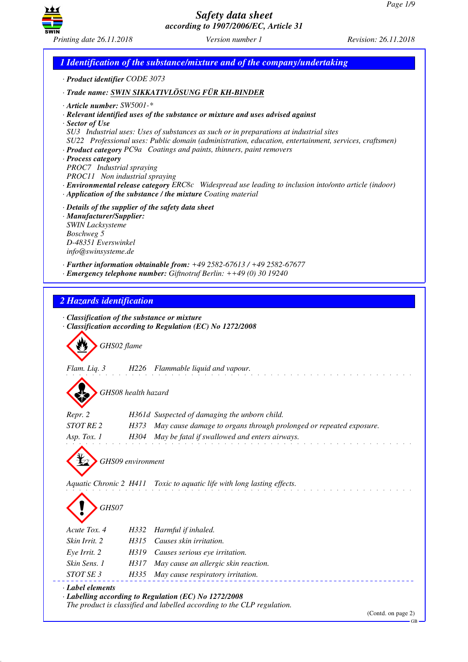

*1 Identification of the substance/mixture and of the company/undertaking · Product identifier CODE 3073 · Trade name: SWIN SIKKATIVLÖSUNG FÜR KH-BINDER · Article number: SW5001-\* · Relevant identified uses of the substance or mixture and uses advised against · Sector of Use SU3 Industrial uses: Uses of substances as such or in preparations at industrial sites SU22 Professional uses: Public domain (administration, education, entertainment, services, craftsmen) · Product category PC9a Coatings and paints, thinners, paint removers · Process category PROC7 Industrial spraying PROC11 Non industrial spraying · Environmental release category ERC8c Widespread use leading to inclusion into/onto article (indoor) · Application of the substance / the mixture Coating material · Details of the supplier of the safety data sheet · Manufacturer/Supplier: SWIN Lacksysteme Boschweg 5 D-48351 Everswinkel info@swinsysteme.de · Further information obtainable from: +49 2582-67613 / +49 2582-67677 · Emergency telephone number: Giftnotruf Berlin: ++49 (0) 30 19240 2 Hazards identification · Classification of the substance or mixture · Classification according to Regulation (EC) No 1272/2008* d~*GHS02 flame Flam. Liq. 3 H226 Flammable liquid and vapour.* d~*GHS08 health hazard Repr. 2 H361d Suspected of damaging the unborn child. STOT RE 2 H373 May cause damage to organs through prolonged or repeated exposure. Asp. Tox. 1 H304 May be fatal if swallowed and enters airways.* d~*GHS09 environment Aquatic Chronic 2 H411 Toxic to aquatic life with long lasting effects.* d~*GHS07 Acute Tox. 4 H332 Harmful if inhaled. Skin Irrit. 2 H315 Causes skin irritation. Eye Irrit. 2 H319 Causes serious eye irritation. Skin Sens. 1 H317 May cause an allergic skin reaction. STOT SE 3 H335 May cause respiratory irritation. · Label elements · Labelling according to Regulation (EC) No 1272/2008 The product is classified and labelled according to the CLP regulation.*

(Contd. on page 2)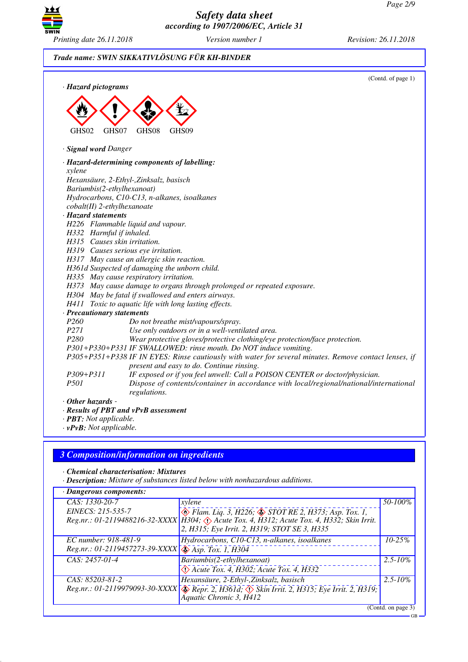

# *Trade name: SWIN SIKKATIVLÖSUNG FÜR KH-BINDER*

| · Hazard pictograms                                                                                            | (Contd. of page 1) |
|----------------------------------------------------------------------------------------------------------------|--------------------|
|                                                                                                                |                    |
|                                                                                                                |                    |
| GHS02<br>GHS08<br>GHS09<br>GHS07                                                                               |                    |
| · Signal word Danger                                                                                           |                    |
|                                                                                                                |                    |
| · Hazard-determining components of labelling:<br>xylene                                                        |                    |
| Hexansäure, 2-Ethyl-,Zinksalz, basisch                                                                         |                    |
| Bariumbis(2-ethylhexanoat)                                                                                     |                    |
| Hydrocarbons, C10-C13, n-alkanes, isoalkanes                                                                   |                    |
| cobalt(II) 2-ethylhexanoate                                                                                    |                    |
| · Hazard statements                                                                                            |                    |
| H226 Flammable liquid and vapour.                                                                              |                    |
| H332 Harmful if inhaled.                                                                                       |                    |
| H315 Causes skin irritation.                                                                                   |                    |
| H319 Causes serious eye irritation.                                                                            |                    |
| H317 May cause an allergic skin reaction.                                                                      |                    |
| H361d Suspected of damaging the unborn child.                                                                  |                    |
| H335 May cause respiratory irritation.                                                                         |                    |
| H373 May cause damage to organs through prolonged or repeated exposure.                                        |                    |
| H304 May be fatal if swallowed and enters airways.                                                             |                    |
| H411 Toxic to aquatic life with long lasting effects.                                                          |                    |
| · Precautionary statements                                                                                     |                    |
| P <sub>260</sub><br>Do not breathe mist/vapours/spray.                                                         |                    |
| P271<br>Use only outdoors or in a well-ventilated area.                                                        |                    |
| P <sub>280</sub><br>Wear protective gloves/protective clothing/eye protection/face protection.                 |                    |
| P301+P330+P331 IF SWALLOWED: rinse mouth. Do NOT induce vomiting.                                              |                    |
| P305+P351+P338 IF IN EYES: Rinse cautiously with water for several minutes. Remove contact lenses, if          |                    |
| present and easy to do. Continue rinsing.                                                                      |                    |
| IF exposed or if you feel unwell: Call a POISON CENTER or doctor/physician.<br>$P309 + P311$                   |                    |
| P501<br>Dispose of contents/container in accordance with local/regional/national/international<br>regulations. |                    |
| $\cdot$ Other hazards -                                                                                        |                    |
| · Results of PBT and vPvB assessment                                                                           |                    |
| · PBT: Not applicable.                                                                                         |                    |
| $\cdot v$ PvB: Not applicable.                                                                                 |                    |

# *3 Composition/information on ingredients*

*· Chemical characterisation: Mixtures*

*· Description: Mixture of substances listed below with nonhazardous additions.*

| $\cdot$ Dangerous components:                                      |                                                                                                                                 |                    |
|--------------------------------------------------------------------|---------------------------------------------------------------------------------------------------------------------------------|--------------------|
| CAS: 1330-20-7                                                     | xylene                                                                                                                          | 50-100%            |
| EINECS: 215-535-7                                                  | $\leftrightarrow$ Flam. Liq. 3, H226; $\leftrightarrow$ STOT RE 2, H373; Asp. Tox. 1,                                           |                    |
|                                                                    | Reg.nr.: 01-2119488216-32-XXXX   H304; Acute Tox. 4, H312; Acute Tox. 4, H332; Skin Irrit.                                      |                    |
|                                                                    | 2, H315; Eye Irrit. 2, H319; STOT SE 3, H335                                                                                    |                    |
| EC number: 918-481-9                                               | Hydrocarbons, C10-C13, n-alkanes, isoalkanes                                                                                    | $10 - 25%$         |
| Reg.nr.: 01-2119457273-39-XXXX $\sqrt{\sqrt{2}}$ Asp. Tox. 1, H304 |                                                                                                                                 |                    |
| CAS: 2457-01-4                                                     | Bariumbis(2-ethylhexanoat)                                                                                                      | $2.5 - 10\%$       |
|                                                                    | $\Diamond$ Acute Tox. 4, H302; Acute Tox. 4, H332                                                                               |                    |
| CAS: 85203-81-2                                                    | Hexansäure, 2-Ethyl-,Zinksalz, basisch                                                                                          | $2.5 - 10\%$       |
|                                                                    | Reg.nr.: 01-2119979093-30-XXXX & Repr. 2, H361d; $\Diamond$ Skin Irrit. 2, H315; Eye Irrit. 2, H319;<br>Aquatic Chronic 3, H412 |                    |
|                                                                    |                                                                                                                                 | (Contd. on page 3) |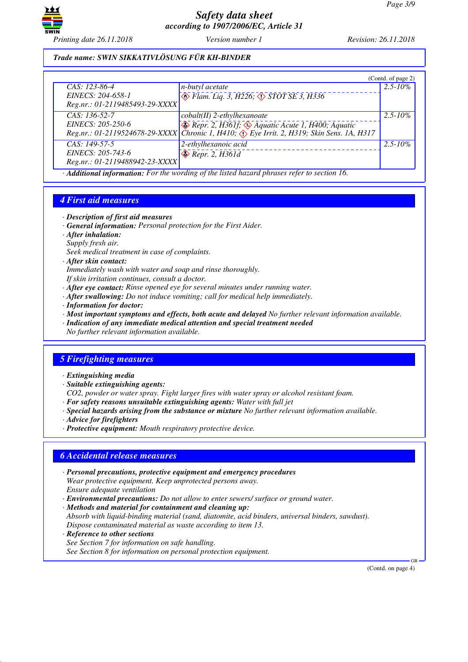

#### *Trade name: SWIN SIKKATIVLÖSUNG FÜR KH-BINDER*

|                                                                        |                                                                                                                                                                                                                                                                                                                                                                          | (Contd. of page 2) |
|------------------------------------------------------------------------|--------------------------------------------------------------------------------------------------------------------------------------------------------------------------------------------------------------------------------------------------------------------------------------------------------------------------------------------------------------------------|--------------------|
| $CAS: 123-86-4$<br>EINECS: 204-658-1<br>Reg.nr.: 01-2119485493-29-XXXX | n-butyl acetate<br>$\overline{\diamond}$ Flam. Liq. 3, H226, $\overline{\diamond}$ STOT SE 3, H336                                                                                                                                                                                                                                                                       | $2.5 - 10\%$       |
| CAS: 136-52-7<br>EINECS: 205-250-6                                     | $\cosh(t)$ 2-ethylhexanoate<br>$\leftrightarrow$ Repr. 2, H361f, $\leftrightarrow$ Aquatic Acute 1, H400; Aquatic<br>Reg.nr.: 01-2119524678-29-XXXX   Čhronic 1, H410; $\overrightarrow{$ Eye Irrit. 2, H319; Skin Sens. 1A, H317                                                                                                                                        | $2.5 - 10\%$       |
| $CAS: 149-57-5$<br>EINECS: 205-743-6<br>Reg.nr.: 01-2119488942-23-XXXX | 2-ethylhexanoic acid<br>$\bigotimes$ Repr. 2, H361d<br>$\mathcal{A}$ and the state $\mathcal{A}$ and $\mathcal{A}$ and $\mathcal{A}$ and $\mathcal{A}$ and $\mathcal{A}$ and $\mathcal{A}$ and $\mathcal{A}$ and $\mathcal{A}$ and $\mathcal{A}$ and $\mathcal{A}$ and $\mathcal{A}$ and $\mathcal{A}$ and $\mathcal{A}$ and $\mathcal{A}$ and $\mathcal{A}$ and $\math$ | $2.5 - 10\%$       |

*· Additional information: For the wording of the listed hazard phrases refer to section 16.*

#### *4 First aid measures*

- *· Description of first aid measures*
- *· General information: Personal protection for the First Aider.*
- *· After inhalation: Supply fresh air.*
- *Seek medical treatment in case of complaints.*
- *· After skin contact:*
- *Immediately wash with water and soap and rinse thoroughly.*
- *If skin irritation continues, consult a doctor.*
- *· After eye contact: Rinse opened eye for several minutes under running water.*
- *· After swallowing: Do not induce vomiting; call for medical help immediately.*
- *· Information for doctor:*
- *· Most important symptoms and effects, both acute and delayed No further relevant information available.*
- *· Indication of any immediate medical attention and special treatment needed*
- *No further relevant information available.*

## *5 Firefighting measures*

- *· Extinguishing media*
- *· Suitable extinguishing agents:*
- *CO2, powder or water spray. Fight larger fires with water spray or alcohol resistant foam.*
- *· For safety reasons unsuitable extinguishing agents: Water with full jet*
- *· Special hazards arising from the substance or mixture No further relevant information available.*
- *· Advice for firefighters*
- *· Protective equipment: Mouth respiratory protective device.*

#### *6 Accidental release measures*

- *· Personal precautions, protective equipment and emergency procedures Wear protective equipment. Keep unprotected persons away. Ensure adequate ventilation*
- *· Environmental precautions: Do not allow to enter sewers/ surface or ground water.*
- *· Methods and material for containment and cleaning up:*
- *Absorb with liquid-binding material (sand, diatomite, acid binders, universal binders, sawdust). Dispose contaminated material as waste according to item 13.*
- *· Reference to other sections*
- *See Section 7 for information on safe handling.*

*See Section 8 for information on personal protection equipment.*

(Contd. on page 4)

GB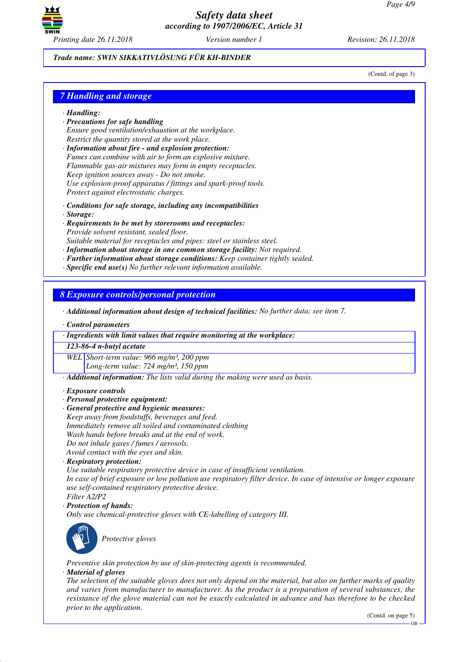

#### *Trade name: SWIN SIKKATIVLÖSUNG FÜR KH-BINDER*

(Contd. of page 3)

#### *7 Handling and storage*

#### *· Handling:*

- *· Precautions for safe handling Ensure good ventilation/exhaustion at the workplace. Restrict the quantity stored at the work place.*
- *· Information about fire and explosion protection: Fumes can combine with air to form an explosive mixture. Flammable gas-air mixtures may form in empty receptacles. Keep ignition sources away - Do not smoke. Use explosion-proof apparatus / fittings and spark-proof tools. Protect against electrostatic charges.*
- *· Conditions for safe storage, including any incompatibilities*
- *· Storage:*
- *· Requirements to be met by storerooms and receptacles: Provide solvent resistant, sealed floor.*

*Suitable material for receptacles and pipes: steel or stainless steel.*

- *· Information about storage in one common storage facility: Not required.*
- *· Further information about storage conditions: Keep container tightly sealed.*
- *· Specific end use(s) No further relevant information available.*

*8 Exposure controls/personal protection*

*· Additional information about design of technical facilities: No further data; see item 7.*

*· Control parameters*

*· Ingredients with limit values that require monitoring at the workplace:*

*123-86-4 n-butyl acetate*

*WEL Short-term value: 966 mg/m³, 200 ppm Long-term value: 724 mg/m³, 150 ppm*

*· Additional information: The lists valid during the making were used as basis.*

*· Exposure controls*

- *· Personal protective equipment:*
- *· General protective and hygienic measures:*
- *Keep away from foodstuffs, beverages and feed. Immediately remove all soiled and contaminated clothing Wash hands before breaks and at the end of work. Do not inhale gases / fumes / aerosols. Avoid contact with the eyes and skin.*
- *· Respiratory protection:*

*Use suitable respiratory protective device in case of insufficient ventilation. In case of brief exposure or low pollution use respiratory filter device. In case of intensive or longer exposure use self-contained respiratory protective device. Filter A2/P2*

*· Protection of hands:*

*Only use chemical-protective gloves with CE-labelling of category III.*



\_S*Protective gloves*

*Preventive skin protection by use of skin-protecting agents is recommended.*

#### *· Material of gloves*

*The selection of the suitable gloves does not only depend on the material, but also on further marks of quality and varies from manufacturer to manufacturer. As the product is a preparation of several substances, the resistance of the glove material can not be exactly calculated in advance and has therefore to be checked prior to the application.*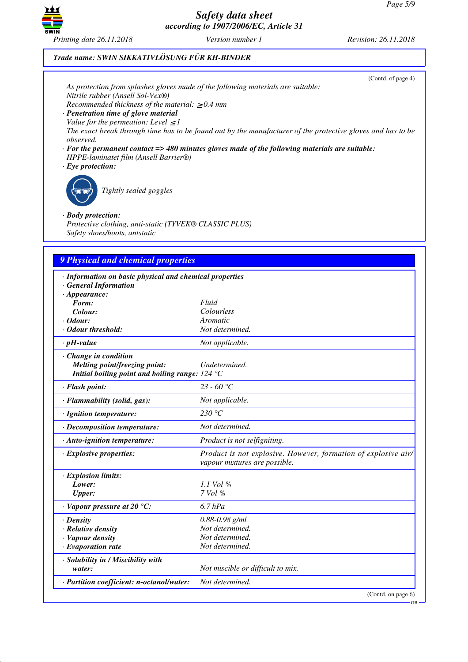GB



*Safety data sheet according to 1907/2006/EC, Article 31*

# *Trade name: SWIN SIKKATIVLÖSUNG FÜR KH-BINDER*

| Nitrile rubber (Ansell Sol-Vex®)<br>Recommended thickness of the material: $\geq 0.4$ mm<br>· Penetration time of glove material<br>Value for the permeation: Level $\leq$ 1<br>observed.<br>HPPE-laminatet film (Ansell Barrier®)<br>$\cdot$ Eye protection:<br>Tightly sealed goggles<br>$\cdot$ Body protection: | (Contd. of page 4)<br>As protection from splashes gloves made of the following materials are suitable:<br>The exact break through time has to be found out by the manufacturer of the protective gloves and has to be<br>$\cdot$ For the permanent contact => 480 minutes gloves made of the following materials are suitable: |
|---------------------------------------------------------------------------------------------------------------------------------------------------------------------------------------------------------------------------------------------------------------------------------------------------------------------|--------------------------------------------------------------------------------------------------------------------------------------------------------------------------------------------------------------------------------------------------------------------------------------------------------------------------------|
| Protective clothing, anti-static (TYVEK® CLASSIC PLUS)<br>Safety shoes/boots, antstatic                                                                                                                                                                                                                             |                                                                                                                                                                                                                                                                                                                                |
|                                                                                                                                                                                                                                                                                                                     |                                                                                                                                                                                                                                                                                                                                |
| <b>9 Physical and chemical properties</b>                                                                                                                                                                                                                                                                           |                                                                                                                                                                                                                                                                                                                                |
|                                                                                                                                                                                                                                                                                                                     |                                                                                                                                                                                                                                                                                                                                |
| · Information on basic physical and chemical properties<br><b>General Information</b>                                                                                                                                                                                                                               |                                                                                                                                                                                                                                                                                                                                |
| $\cdot$ Appearance:                                                                                                                                                                                                                                                                                                 |                                                                                                                                                                                                                                                                                                                                |
| Form:                                                                                                                                                                                                                                                                                                               | Fluid                                                                                                                                                                                                                                                                                                                          |
| Colour:<br>$\cdot$ Odour:                                                                                                                                                                                                                                                                                           | Colourless<br>Aromatic                                                                                                                                                                                                                                                                                                         |
| · Odour threshold:                                                                                                                                                                                                                                                                                                  | Not determined.                                                                                                                                                                                                                                                                                                                |
| $\cdot$ pH-value                                                                                                                                                                                                                                                                                                    | Not applicable.                                                                                                                                                                                                                                                                                                                |
| · Change in condition<br><b>Melting point/freezing point:</b><br>Initial boiling point and boiling range: $124 °C$                                                                                                                                                                                                  | Undetermined.                                                                                                                                                                                                                                                                                                                  |
| · Flash point:                                                                                                                                                                                                                                                                                                      | 23 - 60 °C                                                                                                                                                                                                                                                                                                                     |
| · Flammability (solid, gas):                                                                                                                                                                                                                                                                                        | Not applicable.                                                                                                                                                                                                                                                                                                                |
| · Ignition temperature:                                                                                                                                                                                                                                                                                             | 230 $^{\circ}C$                                                                                                                                                                                                                                                                                                                |
| · Decomposition temperature:                                                                                                                                                                                                                                                                                        | Not determined.                                                                                                                                                                                                                                                                                                                |
| · Auto-ignition temperature:                                                                                                                                                                                                                                                                                        | Product is not selfigniting.                                                                                                                                                                                                                                                                                                   |
| $\cdot$ Explosive properties:                                                                                                                                                                                                                                                                                       | Product is not explosive. However, formation of explosive air/<br>vapour mixtures are possible.                                                                                                                                                                                                                                |
| · Explosion limits:<br>Lower:<br><b>Upper:</b>                                                                                                                                                                                                                                                                      | $1.1$ Vol %<br>7 Vol %                                                                                                                                                                                                                                                                                                         |
| $\cdot$ Vapour pressure at 20 °C:                                                                                                                                                                                                                                                                                   | $6.7$ $hPa$                                                                                                                                                                                                                                                                                                                    |
| · Density<br>· Relative density<br>· Vapour density<br>· Evaporation rate                                                                                                                                                                                                                                           | $0.88 - 0.98$ g/ml<br>Not determined.<br>Not determined.<br>Not determined.                                                                                                                                                                                                                                                    |
| · Solubility in / Miscibility with<br>water:                                                                                                                                                                                                                                                                        | Not miscible or difficult to mix.                                                                                                                                                                                                                                                                                              |
| · Partition coefficient: n-octanol/water:                                                                                                                                                                                                                                                                           | Not determined.                                                                                                                                                                                                                                                                                                                |
|                                                                                                                                                                                                                                                                                                                     | (Contd. on page 6)                                                                                                                                                                                                                                                                                                             |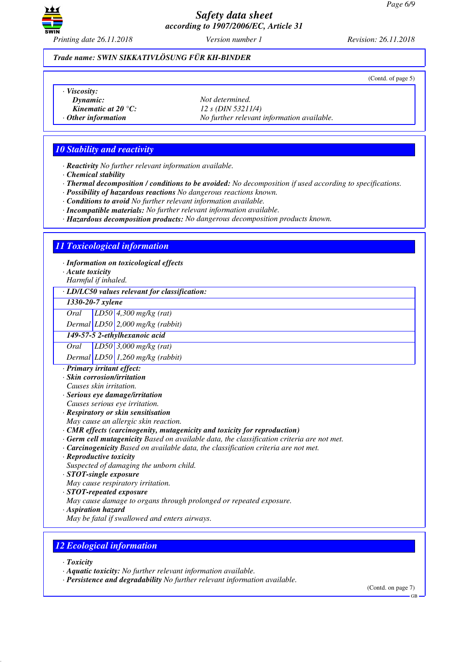

(Contd. of page 5)

#### *Trade name: SWIN SIKKATIVLÖSUNG FÜR KH-BINDER*

*· Viscosity:*

- 
- 
- 

*Dynamic: Not determined. Kinematic at 20 °C: 12 s (DIN 53211/4) · Other information No further relevant information available.*

## *10 Stability and reactivity*

*· Reactivity No further relevant information available.*

- *· Chemical stability*
- *· Thermal decomposition / conditions to be avoided: No decomposition if used according to specifications.*
- *· Possibility of hazardous reactions No dangerous reactions known.*

*· Conditions to avoid No further relevant information available.*

- *· Incompatible materials: No further relevant information available.*
- *· Hazardous decomposition products: No dangerous decomposition products known.*

## *11 Toxicological information*

*· Information on toxicological effects*

- *· Acute toxicity*
- *Harmful if inhaled.*

#### *· LD/LC50 values relevant for classification:*

*1330-20-7 xylene*

*Oral LD50 4,300 mg/kg (rat)*

*Dermal LD50 2,000 mg/kg (rabbit)*

*149-57-5 2-ethylhexanoic acid*

*Oral LD50 3,000 mg/kg (rat)*

*Dermal LD50 1,260 mg/kg (rabbit)*

- *· Primary irritant effect:*
- *· Skin corrosion/irritation*
- *Causes skin irritation.*
- *· Serious eye damage/irritation*

*Causes serious eye irritation.*

- *· Respiratory or skin sensitisation*
- *May cause an allergic skin reaction.*
- *· CMR effects (carcinogenity, mutagenicity and toxicity for reproduction)*
- *· Germ cell mutagenicity Based on available data, the classification criteria are not met.*
- *· Carcinogenicity Based on available data, the classification criteria are not met.*
- *· Reproductive toxicity*
- *Suspected of damaging the unborn child.*
- *· STOT-single exposure*
- *May cause respiratory irritation.*
- *· STOT-repeated exposure*
- *May cause damage to organs through prolonged or repeated exposure.*
- *· Aspiration hazard*
- *May be fatal if swallowed and enters airways.*

## *12 Ecological information*

- *· Toxicity*
- *· Aquatic toxicity: No further relevant information available.*
- *· Persistence and degradability No further relevant information available.*

(Contd. on page 7)

GB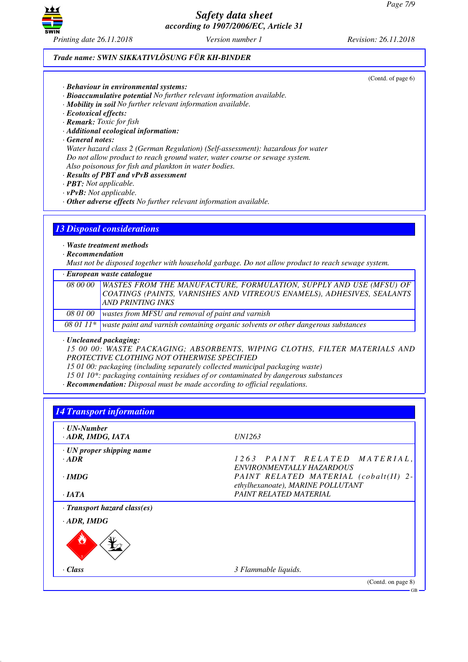

#### *Trade name: SWIN SIKKATIVLÖSUNG FÜR KH-BINDER*

(Contd. of page 6)

- *· Behaviour in environmental systems:*
- *· Bioaccumulative potential No further relevant information available.*
- *· Mobility in soil No further relevant information available.*
- *· Ecotoxical effects:*
- *· Remark: Toxic for fish*
- *· Additional ecological information:*
- *· General notes:*

*Water hazard class 2 (German Regulation) (Self-assessment): hazardous for water Do not allow product to reach ground water, water course or sewage system. Also poisonous for fish and plankton in water bodies.*

- *· Results of PBT and vPvB assessment*
- *· PBT: Not applicable.*
- *· vPvB: Not applicable.*
- *· Other adverse effects No further relevant information available.*

#### *13 Disposal considerations*

*· Waste treatment methods*

*· Recommendation*

*Must not be disposed together with household garbage. Do not allow product to reach sewage system.*

*· European waste catalogue*

|          | 08 00 00   WASTES FROM THE MANUFACTURE, FORMULATION, SUPPLY AND USE (MFSU) OF               |
|----------|---------------------------------------------------------------------------------------------|
|          | COATINGS (PAINTS, VARNISHES AND VITREOUS ENAMELS), ADHESIVES, SEALANTS                      |
|          | <b>AND PRINTING INKS</b>                                                                    |
| 08 01 00 | wastes from MFSU and removal of paint and varnish                                           |
|          | 08 01 11* waste paint and varnish containing organic solvents or other dangerous substances |

*· Uncleaned packaging:*

*15 00 00: WASTE PACKAGING; ABSORBENTS, WIPING CLOTHS, FILTER MATERIALS AND PROTECTIVE CLOTHING NOT OTHERWISE SPECIFIED*

*15 01 00: packaging (including separately collected municipal packaging waste)*

*15 01 10\*: packaging containing residues of or contaminated by dangerous substances*

*· Recommendation: Disposal must be made according to official regulations.*

# *14 Transport information · UN-Number*

| · ADR, IMDG, IATA                  | <i>UN1263</i>                                                              |
|------------------------------------|----------------------------------------------------------------------------|
| $\cdot$ UN proper shipping name    |                                                                            |
| $\cdot$ ADR                        | 1263 PAINT RELATED MATERIAL,                                               |
|                                    | ENVIRONMENTALLY HAZARDOUS                                                  |
| $\cdot$ IMDG                       | PAINT RELATED MATERIAL (cobalt(II) 2-<br>ethylhexanoate), MARINE POLLUTANT |
| $\cdot$ JATA                       | PAINT RELATED MATERIAL                                                     |
| $\cdot$ Transport hazard class(es) |                                                                            |
| $\cdot$ ADR, IMDG                  |                                                                            |
|                                    |                                                                            |
| $\cdot$ Class                      | 3 Flammable liquids.                                                       |
|                                    | (Contd. on page 8)                                                         |
|                                    | ∙GB                                                                        |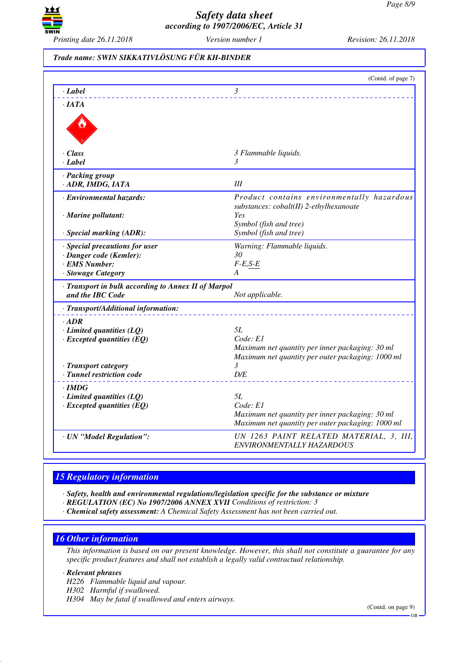

## *Trade name: SWIN SIKKATIVLÖSUNG FÜR KH-BINDER*

|                                                                                     | (Contd. of page 7)                                                                                                            |
|-------------------------------------------------------------------------------------|-------------------------------------------------------------------------------------------------------------------------------|
| · Label                                                                             | $\mathfrak{Z}$                                                                                                                |
| $\cdot$ <i>IATA</i>                                                                 |                                                                                                                               |
|                                                                                     |                                                                                                                               |
| $\cdot$ Class                                                                       | 3 Flammable liquids.                                                                                                          |
| · Label                                                                             | 3                                                                                                                             |
| · Packing group<br>· ADR, IMDG, IATA                                                | Ш                                                                                                                             |
| · Environmental hazards:<br>· Marine pollutant:                                     | Product contains environmentally hazardous<br>substances: cobalt(II) 2-ethylhexanoate<br>Yes                                  |
| · Special marking (ADR):                                                            | Symbol (fish and tree)<br>Symbol (fish and tree)                                                                              |
| · Special precautions for user<br>· Danger code (Kemler):<br>· EMS Number:          | Warning: Flammable liquids.<br>30<br>$F-E,S-E$                                                                                |
| · Stowage Category                                                                  | A                                                                                                                             |
| · Transport in bulk according to Annex II of Marpol<br>and the IBC Code             | Not applicable.                                                                                                               |
| · Transport/Additional information:                                                 |                                                                                                                               |
| $\cdot$ ADR<br>$\cdot$ Limited quantities (LQ)<br>$\cdot$ Excepted quantities (EQ)  | <i>5L</i><br>Code: El<br>Maximum net quantity per inner packaging: 30 ml<br>Maximum net quantity per outer packaging: 1000 ml |
| · Transport category<br>· Tunnel restriction code                                   | 3<br>D/E                                                                                                                      |
| $\cdot$ IMDG<br>$\cdot$ Limited quantities (LQ)<br>$\cdot$ Excepted quantities (EQ) | 5L<br>Code: E1<br>Maximum net quantity per inner packaging: 30 ml<br>Maximum net quantity per outer packaging: 1000 ml        |
| · UN "Model Regulation":                                                            | UN 1263 PAINT RELATED MATERIAL, 3, III,<br>ENVIRONMENTALLY HAZARDOUS                                                          |

# *15 Regulatory information*

*· Safety, health and environmental regulations/legislation specific for the substance or mixture*

- *· REGULATION (EC) No 1907/2006 ANNEX XVII Conditions of restriction: 3*
- *· Chemical safety assessment: A Chemical Safety Assessment has not been carried out.*

#### *16 Other information*

*This information is based on our present knowledge. However, this shall not constitute a guarantee for any specific product features and shall not establish a legally valid contractual relationship.*

#### *· Relevant phrases*

*H226 Flammable liquid and vapour.*

*H302 Harmful if swallowed.*

*H304 May be fatal if swallowed and enters airways.*

(Contd. on page 9)

GB